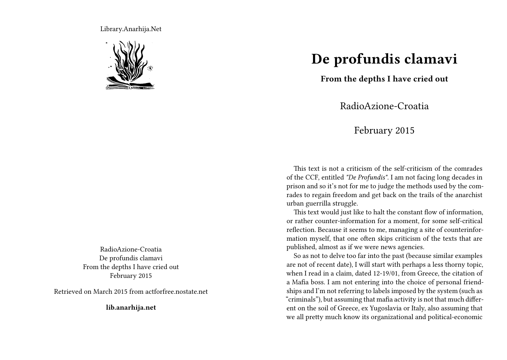Library.Anarhija.Net



RadioAzione-Croatia De profundis clamavi From the depths I have cried out February 2015

Retrieved on March 2015 from actforfree.nostate.net

**lib.anarhija.net**

## **De profundis clamavi**

**From the depths I have cried out**

RadioAzione-Croatia

February 2015

This text is not a criticism of the self-criticism of the comrades of the CCF, entitled *"De Profundis"*. I am not facing long decades in prison and so it's not for me to judge the methods used by the comrades to regain freedom and get back on the trails of the anarchist urban guerrilla struggle.

This text would just like to halt the constant flow of information, or rather counter-information for a moment, for some self-critical reflection. Because it seems to me, managing a site of counterinformation myself, that one often skips criticism of the texts that are published, almost as if we were news agencies.

So as not to delve too far into the past (because similar examples are not of recent date), I will start with perhaps a less thorny topic, when I read in a claim, dated 12-19/01, from Greece, the citation of a Mafia boss. I am not entering into the choice of personal friendships and I'm not referring to labels imposed by the system (such as "criminals"), but assuming that mafia activity is not that much different on the soil of Greece, ex Yugoslavia or Italy, also assuming that we all pretty much know its organizational and political-economic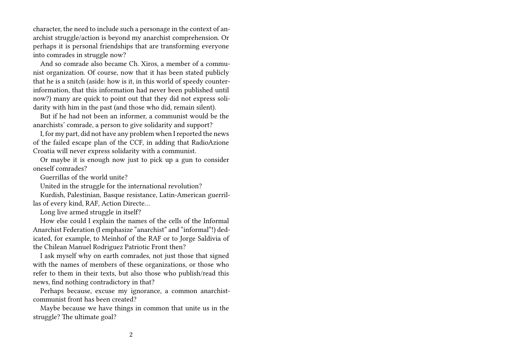character, the need to include such a personage in the context of anarchist struggle/action is beyond my anarchist comprehension. Or perhaps it is personal friendships that are transforming everyone into comrades in struggle now?

And so comrade also became Ch. Xiros, a member of a communist organization. Of course, now that it has been stated publicly that he is a snitch (aside: how is it, in this world of speedy counterinformation, that this information had never been published until now?) many are quick to point out that they did not express solidarity with him in the past (and those who did, remain silent).

But if he had not been an informer, a communist would be the anarchists' comrade, a person to give solidarity and support?

I, for my part, did not have any problem when I reported the news of the failed escape plan of the CCF, in adding that RadioAzione Croatia will never express solidarity with a communist.

Or maybe it is enough now just to pick up a gun to consider oneself comrades?

Guerrillas of the world unite?

United in the struggle for the international revolution?

Kurdish, Palestinian, Basque resistance, Latin-American guerrillas of every kind, RAF, Action Directe…

Long live armed struggle in itself?

How else could I explain the names of the cells of the Informal Anarchist Federation (I emphasize "anarchist" and "informal"!) dedicated, for example, to Meinhof of the RAF or to Jorge Saldivia of the Chilean Manuel Rodriguez Patriotic Front then?

I ask myself why on earth comrades, not just those that signed with the names of members of these organizations, or those who refer to them in their texts, but also those who publish/read this news, find nothing contradictory in that?

Perhaps because, excuse my ignorance, a common anarchistcommunist front has been created?

Maybe because we have things in common that unite us in the struggle? The ultimate goal?

2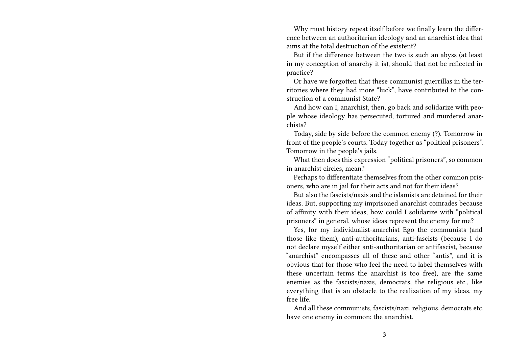Why must history repeat itself before we finally learn the difference between an authoritarian ideology and an anarchist idea that aims at the total destruction of the existent?

But if the difference between the two is such an abyss (at least in my conception of anarchy it is), should that not be reflected in practice?

Or have we forgotten that these communist guerrillas in the territories where they had more "luck", have contributed to the construction of a communist State?

And how can I, anarchist, then, go back and solidarize with people whose ideology has persecuted, tortured and murdered anarchists?

Today, side by side before the common enemy (?). Tomorrow in front of the people's courts. Today together as "political prisoners". Tomorrow in the people's jails.

What then does this expression "political prisoners", so common in anarchist circles, mean?

Perhaps to differentiate themselves from the other common prisoners, who are in jail for their acts and not for their ideas?

But also the fascists/nazis and the islamists are detained for their ideas. But, supporting my imprisoned anarchist comrades because of affinity with their ideas, how could I solidarize with "political prisoners" in general, whose ideas represent the enemy for me?

Yes, for my individualist-anarchist Ego the communists (and those like them), anti-authoritarians, anti-fascists (because I do not declare myself either anti-authoritarian or antifascist, because "anarchist" encompasses all of these and other "antis", and it is obvious that for those who feel the need to label themselves with these uncertain terms the anarchist is too free), are the same enemies as the fascists/nazis, democrats, the religious etc., like everything that is an obstacle to the realization of my ideas, my free life.

And all these communists, fascists/nazi, religious, democrats etc. have one enemy in common: the anarchist.